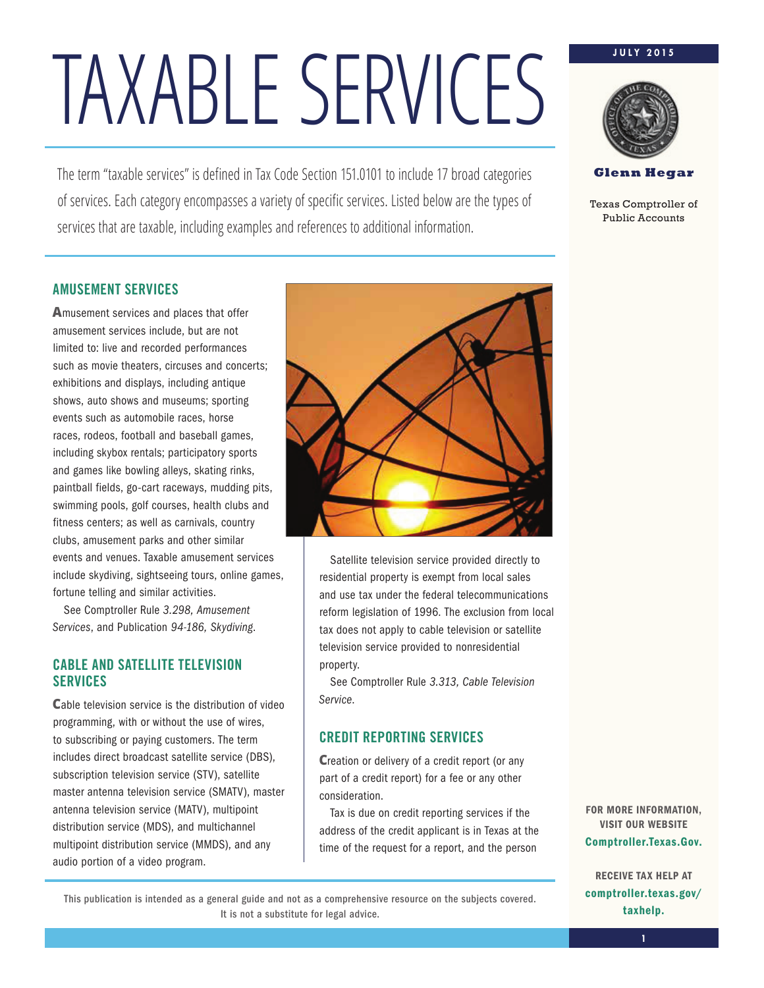The term "taxable services" is defined in Tax Code Section 151.0101 to include 17 broad categories of services. Each category encompasses a variety of specific services. Listed below are the types of services that are taxable, including examples and references to additional information.

### **J U L Y 2 0 1 5**



**Glenn Hegar** 

Texas Comptroller of Public Accounts

### AMUSEMENT SERVICES

**A**musement services and places that offer amusement services include, but are not limited to: live and recorded performances such as movie theaters, circuses and concerts; exhibitions and displays, including antique shows, auto shows and museums; sporting events such as automobile races, horse races, rodeos, football and baseball games, including skybox rentals; participatory sports and games like bowling alleys, skating rinks, paintball fields, go-cart raceways, mudding pits, swimming pools, golf courses, health clubs and fitness centers; as well as carnivals, country clubs, amusement parks and other similar events and venues. Taxable amusement services include skydiving, sightseeing tours, online games, fortune telling and similar activities.

See Comptroller Rule 3.298, Amusement Services, and Publication 94-186, Skydiving.

### CABLE AND SATELLITE TELEVISION **SERVICES**

**C**able television service is the distribution of video programming, with or without the use of wires, to subscribing or paying customers. The term includes direct broadcast satellite service (DBS), subscription television service (STV), satellite master antenna television service (SMATV), master antenna television service (MATV), multipoint distribution service (MDS), and multichannel multipoint distribution service (MMDS), and any audio portion of a video program.



Satellite television service provided directly to residential property is exempt from local sales and use tax under the federal telecommunications reform legislation of 1996. The exclusion from local tax does not apply to cable television or satellite television service provided to nonresidential property.

See Comptroller Rule 3.313, Cable Television Service.

## CREDIT REPORTING SERVICES

**C**reation or delivery of a credit report (or any part of a credit report) for a fee or any other consideration.

Tax is due on credit reporting services if the address of the credit applicant is in Texas at the time of the request for a report, and the person

FOR MORE INFORMATION, VISIT OUR WEBSITE Comptroller.Texas.Gov.

RECEIVE TAX HELP AT comptroller.texas.gov/ taxhelp.

**1**

This publication is intended as a general guide and not as a comprehensive resource on the subjects covered. It is not a substitute for legal advice.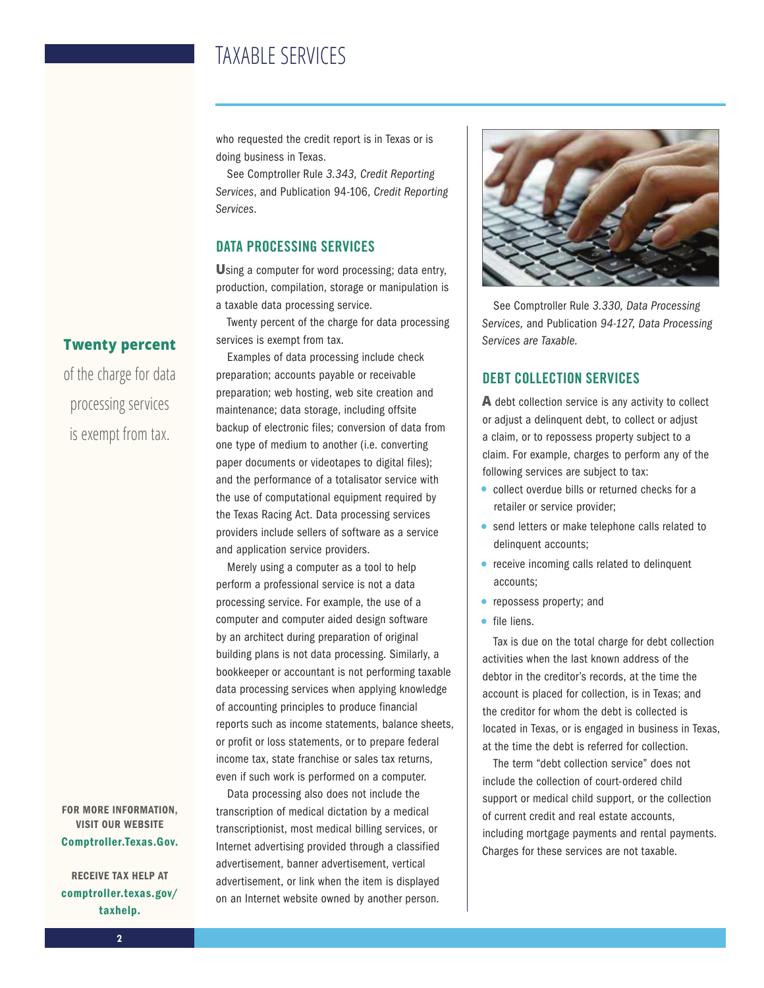who requested the credit report is in Texas or is doing business in Texas.

See Comptroller Rule 3.343, Credit Reporting Services, and Publication 94-106, Credit Reporting Services.

### DATA PROCESSING SERVICES

**U**sing a computer for word processing; data entry, production, compilation, storage or manipulation is a taxable data processing service.

Twenty percent of the charge for data processing services is exempt from tax.

Examples of data processing include check preparation; accounts payable or receivable preparation; web hosting, web site creation and maintenance; data storage, including offsite backup of electronic files; conversion of data from one type of medium to another (i.e. converting paper documents or videotapes to digital files); and the performance of a totalisator service with the use of computational equipment required by the Texas Racing Act. Data processing services providers include sellers of software as a service and application service providers.

Merely using a computer as a tool to help perform a professional service is not a data processing service. For example, the use of a computer and computer aided design software by an architect during preparation of original building plans is not data processing. Similarly, a bookkeeper or accountant is not performing taxable data processing services when applying knowledge of accounting principles to produce financial reports such as income statements, balance sheets, or profit or loss statements, or to prepare federal income tax, state franchise or sales tax returns, even if such work is performed on a computer.

Data processing also does not include the transcription of medical dictation by a medical transcriptionist, most medical billing services, or Internet advertising provided through a classified advertisement, banner advertisement, vertical advertisement, or link when the item is displayed on an Internet website owned by another person.



See Comptroller Rule 3.330, Data Processing Services, and Publication 94-127, Data Processing Services are Taxable.

### DEBT COLLECTION SERVICES

**A** debt collection service is any activity to collect or adjust a delinquent debt, to collect or adjust a claim, or to repossess property subject to a claim. For example, charges to perform any of the following services are subject to tax:

- collect overdue bills or returned checks for a retailer or service provider;
- send letters or make telephone calls related to delinquent accounts;
- receive incoming calls related to delinquent accounts;
- repossess property; and
- file liens.

Tax is due on the total charge for debt collection activities when the last known address of the debtor in the creditor's records, at the time the account is placed for collection, is in Texas; and the creditor for whom the debt is collected is located in Texas, or is engaged in business in Texas, at the time the debt is referred for collection.

The term "debt collection service" does not include the collection of court-ordered child support or medical child support, or the collection of current credit and real estate accounts, including mortgage payments and rental payments. Charges for these services are not taxable.

### **Twenty percent**

of the charge for data processing services is exempt from tax.

FOR MORE INFORMATION, VISIT OUR WEBSITE Comptroller.Texas.Gov.

RECEIVE TAX HELP AT comptroller.texas.gov/ taxhelp.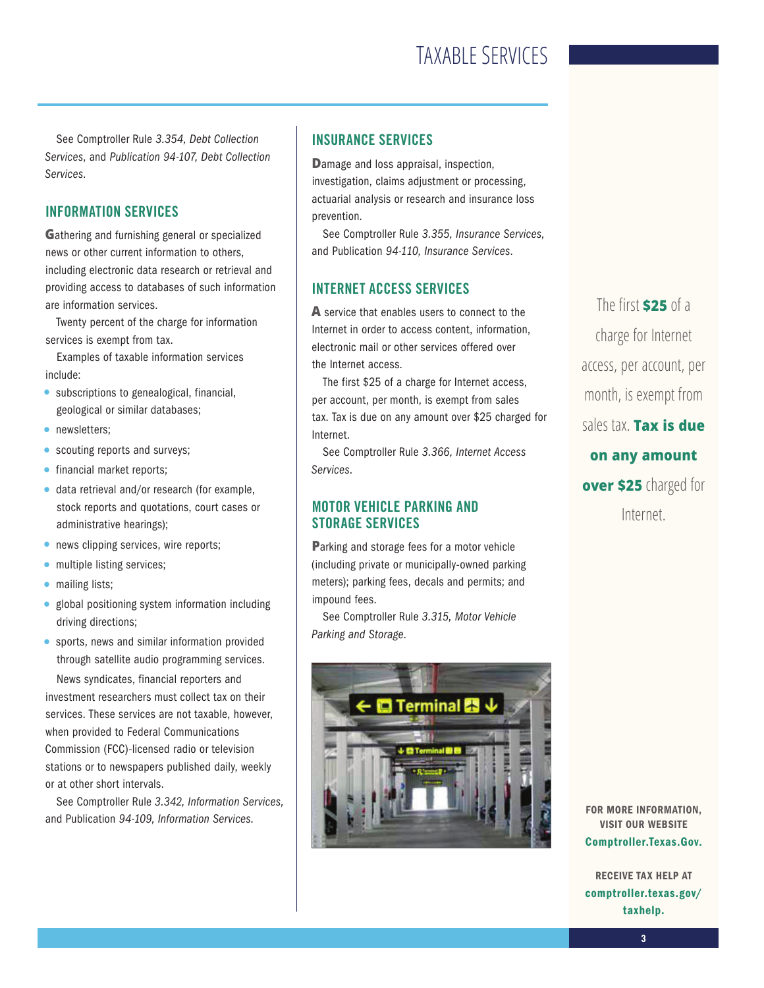See Comptroller Rule 3.354, Debt Collection Services, and Publication 94-107, Debt Collection Services.

### INFORMATION SERVICES

**G**athering and furnishing general or specialized news or other current information to others, including electronic data research or retrieval and providing access to databases of such information are information services.

Twenty percent of the charge for information services is exempt from tax.

Examples of taxable information services include:

- subscriptions to genealogical, financial, geological or similar databases;
- newsletters;
- scouting reports and surveys;
- financial market reports;
- data retrieval and/or research (for example, stock reports and quotations, court cases or administrative hearings);
- news clipping services, wire reports;
- multiple listing services;
- mailing lists;
- global positioning system information including driving directions;
- sports, news and similar information provided through satellite audio programming services.

News syndicates, financial reporters and investment researchers must collect tax on their services. These services are not taxable, however, when provided to Federal Communications Commission (FCC)-licensed radio or television stations or to newspapers published daily, weekly or at other short intervals.

See Comptroller Rule 3.342, Information Services, and Publication 94-109, Information Services.

### INSURANCE SERVICES

**D**amage and loss appraisal, inspection, investigation, claims adjustment or processing, actuarial analysis or research and insurance loss prevention.

See Comptroller Rule 3.355, Insurance Services, and Publication 94-110, Insurance Services.

### INTERNET ACCESS SERVICES

**A** service that enables users to connect to the Internet in order to access content, information, electronic mail or other services offered over the Internet access.

The first \$25 of a charge for Internet access, per account, per month, is exempt from sales tax. Tax is due on any amount over \$25 charged for Internet.

See Comptroller Rule 3.366, Internet Access Services.

### MOTOR VEHICLE PARKING AND STORAGE SERVICES

**P**arking and storage fees for a motor vehicle (including private or municipally-owned parking meters); parking fees, decals and permits; and impound fees.

See Comptroller Rule 3.315, Motor Vehicle Parking and Storage.



The first **\$25** of a charge for Internet access, per account, per month, is exempt from sales tax. **Tax is due on any amount over \$25** charged for Internet.

FOR MORE INFORMATION, VISIT OUR WEBSITE Comptroller.Texas.Gov.

RECEIVE TAX HELP AT comptroller.texas.gov/ taxhelp.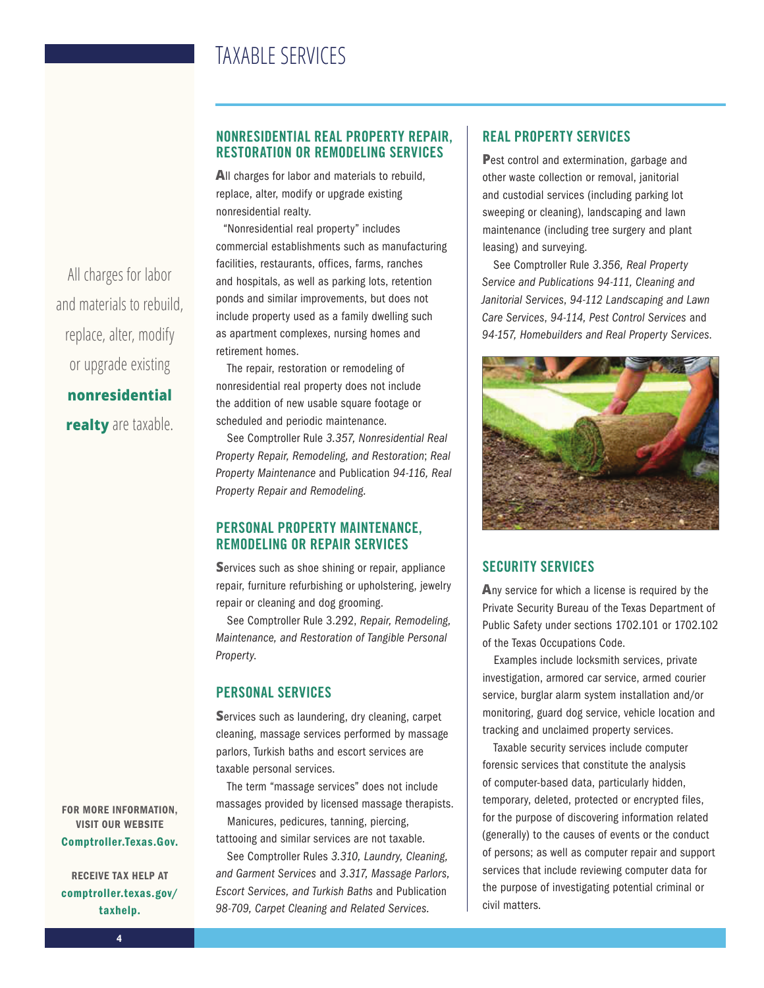All charges for labor and materials to rebuild, replace, alter, modify or upgrade existing **nonresidential realty** are taxable.

FOR MORE INFORMATION, VISIT OUR WEBSITE Comptroller.Texas.Gov.

RECEIVE TAX HELP AT comptroller.texas.gov/ taxhelp.

### NONRESIDENTIAL REAL PROPERTY REPAIR, RESTORATION OR REMODELING SERVICES

**A**ll charges for labor and materials to rebuild, replace, alter, modify or upgrade existing nonresidential realty.

"Nonresidential real property" includes commercial establishments such as manufacturing facilities, restaurants, offices, farms, ranches and hospitals, as well as parking lots, retention ponds and similar improvements, but does not include property used as a family dwelling such as apartment complexes, nursing homes and retirement homes.

The repair, restoration or remodeling of nonresidential real property does not include the addition of new usable square footage or scheduled and periodic maintenance.

See Comptroller Rule 3.357, Nonresidential Real Property Repair, Remodeling, and Restoration; Real Property Maintenance and Publication 94-116, Real Property Repair and Remodeling.

### PERSONAL PROPERTY MAINTENANCE, REMODELING OR REPAIR SERVICES

**S**ervices such as shoe shining or repair, appliance repair, furniture refurbishing or upholstering, jewelry repair or cleaning and dog grooming.

See Comptroller Rule 3.292, Repair, Remodeling, Maintenance, and Restoration of Tangible Personal Property.

### PERSONAL SERVICES

**S**ervices such as laundering, dry cleaning, carpet cleaning, massage services performed by massage parlors, Turkish baths and escort services are taxable personal services.

The term "massage services" does not include massages provided by licensed massage therapists. Manicures, pedicures, tanning, piercing,

tattooing and similar services are not taxable. See Comptroller Rules 3.310, Laundry, Cleaning, and Garment Services and 3.317, Massage Parlors,

Escort Services, and Turkish Baths and Publication 98-709, Carpet Cleaning and Related Services.

### REAL PROPERTY SERVICES

**P**est control and extermination, garbage and other waste collection or removal, janitorial and custodial services (including parking lot sweeping or cleaning), landscaping and lawn maintenance (including tree surgery and plant leasing) and surveying.

See Comptroller Rule 3.356, Real Property Service and Publications 94-111, Cleaning and Janitorial Services, 94-112 Landscaping and Lawn Care Services, 94-114, Pest Control Services and 94-157, Homebuilders and Real Property Services.



### SECURITY SERVICES

**A**ny service for which a license is required by the Private Security Bureau of the Texas Department of Public Safety under sections 1702.101 or 1702.102 of the Texas Occupations Code.

Examples include locksmith services, private investigation, armored car service, armed courier service, burglar alarm system installation and/or monitoring, guard dog service, vehicle location and tracking and unclaimed property services.

Taxable security services include computer forensic services that constitute the analysis of computer-based data, particularly hidden, temporary, deleted, protected or encrypted files, for the purpose of discovering information related (generally) to the causes of events or the conduct of persons; as well as computer repair and support services that include reviewing computer data for the purpose of investigating potential criminal or civil matters.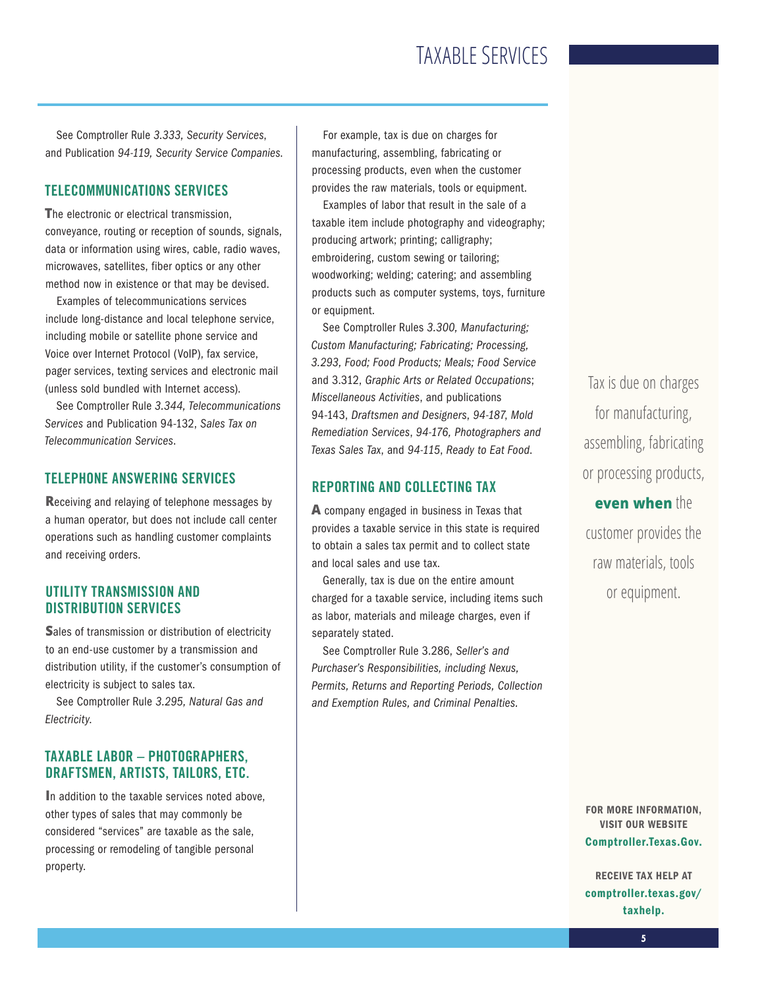See Comptroller Rule 3.333, Security Services, and Publication 94-119, Security Service Companies.

### TELECOMMUNICATIONS SERVICES

**T**he electronic or electrical transmission, conveyance, routing or reception of sounds, signals, data or information using wires, cable, radio waves, microwaves, satellites, fiber optics or any other method now in existence or that may be devised.

Examples of telecommunications services include long-distance and local telephone service, including mobile or satellite phone service and Voice over Internet Protocol (VoIP), fax service, pager services, texting services and electronic mail (unless sold bundled with Internet access).

See Comptroller Rule 3.344, Telecommunications Services and Publication 94-132, Sales Tax on Telecommunication Services.

### TELEPHONE ANSWERING SERVICES

**R**eceiving and relaying of telephone messages by a human operator, but does not include call center operations such as handling customer complaints and receiving orders.

### UTILITY TRANSMISSION AND DISTRIBUTION SERVICES

**S**ales of transmission or distribution of electricity to an end-use customer by a transmission and distribution utility, if the customer's consumption of electricity is subject to sales tax.

See Comptroller Rule 3.295, Natural Gas and Electricity.

### TAXABLE LABOR – PHOTOGRAPHERS, DRAFTSMEN, ARTISTS, TAILORS, ETC.

**I**n addition to the taxable services noted above, other types of sales that may commonly be considered "services" are taxable as the sale, processing or remodeling of tangible personal property.

For example, tax is due on charges for manufacturing, assembling, fabricating or processing products, even when the customer provides the raw materials, tools or equipment.

Examples of labor that result in the sale of a taxable item include photography and videography; producing artwork; printing; calligraphy; embroidering, custom sewing or tailoring; woodworking; welding; catering; and assembling products such as computer systems, toys, furniture or equipment.

See Comptroller Rules 3.300, Manufacturing; Custom Manufacturing; Fabricating; Processing, 3.293, Food; Food Products; Meals; Food Service and 3.312, Graphic Arts or Related Occupations; Miscellaneous Activities, and publications 94-143, Draftsmen and Designers, 94-187, Mold Remediation Services, 94-176, Photographers and Texas Sales Tax, and 94-115, Ready to Eat Food.

### REPORTING AND COLLECTING TAX

**A** company engaged in business in Texas that provides a taxable service in this state is required to obtain a sales tax permit and to collect state and local sales and use tax.

Generally, tax is due on the entire amount charged for a taxable service, including items such as labor, materials and mileage charges, even if separately stated.

See Comptroller Rule 3.286, Seller's and Purchaser's Responsibilities, including Nexus, Permits, Returns and Reporting Periods, Collection and Exemption Rules, and Criminal Penalties.

Tax is due on charges for manufacturing, assembling, fabricating or processing products,

**even when** the customer provides the raw materials, tools or equipment.

FOR MORE INFORMATION, VISIT OUR WEBSITE Comptroller.Texas.Gov.

RECEIVE TAX HELP AT comptroller.texas.gov/ taxhelp.